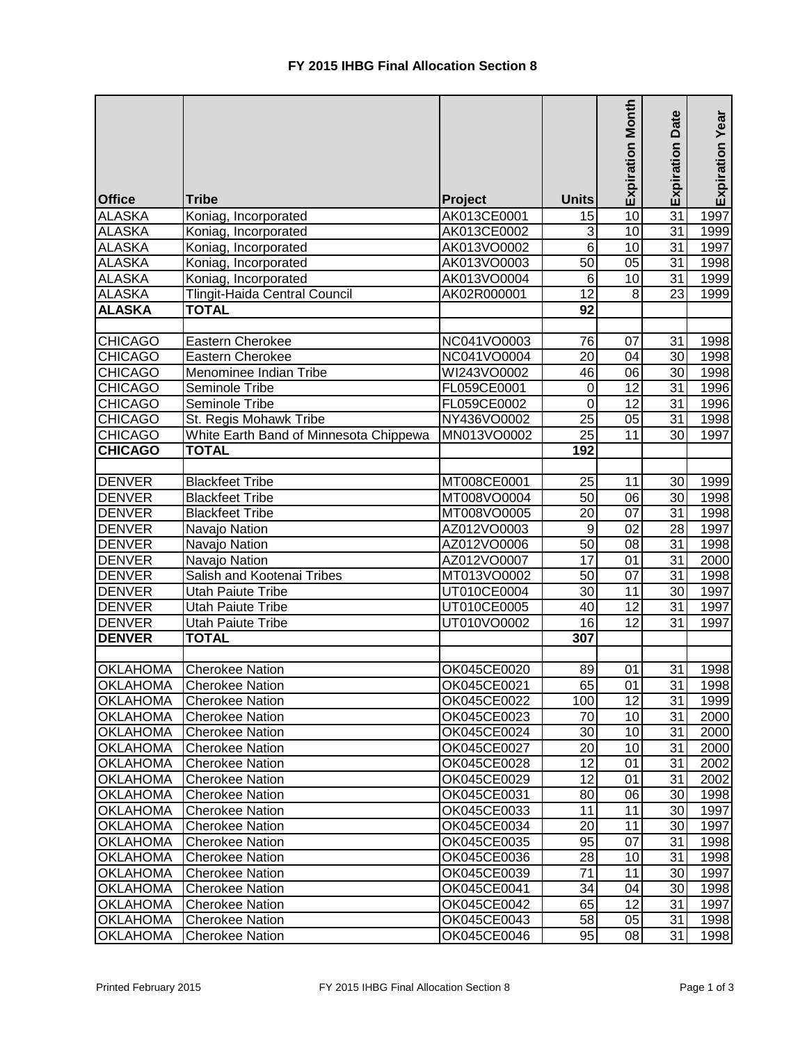|                 |                                        |             |                 | <b>Expiration Month</b> | Date            | Expiration Year |
|-----------------|----------------------------------------|-------------|-----------------|-------------------------|-----------------|-----------------|
|                 |                                        |             |                 |                         |                 |                 |
|                 |                                        |             |                 |                         | Expiration      |                 |
|                 |                                        |             |                 |                         |                 |                 |
| <b>Office</b>   | <b>Tribe</b>                           | Project     | <b>Units</b>    |                         |                 |                 |
| <b>ALASKA</b>   | Koniag, Incorporated                   | AK013CE0001 | 15              | 10                      | $\overline{31}$ | 1997            |
| <b>ALASKA</b>   | Koniag, Incorporated                   | AK013CE0002 | 3               | 10                      | 31              | 1999            |
| <b>ALASKA</b>   | Koniag, Incorporated                   | AK013VO0002 | $6\phantom{1}6$ | 10                      | 31              | 1997            |
| <b>ALASKA</b>   | Koniag, Incorporated                   | AK013VO0003 | $\overline{50}$ | 05                      | 31              | 1998            |
| <b>ALASKA</b>   | Koniag, Incorporated                   | AK013VO0004 | $6\phantom{1}6$ | 10                      | 31              | 1999            |
| <b>ALASKA</b>   | Tlingit-Haida Central Council          | AK02R000001 | 12              | 8                       | $\overline{23}$ | 1999            |
| <b>ALASKA</b>   | <b>TOTAL</b>                           |             | 92              |                         |                 |                 |
|                 |                                        |             |                 |                         |                 |                 |
| <b>CHICAGO</b>  | Eastern Cherokee                       | NC041VO0003 | 76              | 07                      | 31              | 1998            |
| <b>CHICAGO</b>  | Eastern Cherokee                       | NC041VO0004 | 20              | 04                      | 30              | 1998            |
| <b>CHICAGO</b>  | Menominee Indian Tribe                 | WI243VO0002 | 46              | 06                      | 30              | 1998            |
| <b>CHICAGO</b>  | Seminole Tribe                         | FL059CE0001 | $\mathbf 0$     | $\overline{12}$         | 31              | 1996            |
| <b>CHICAGO</b>  | Seminole Tribe                         | FL059CE0002 | 0               | 12                      | 31              | 1996            |
| <b>CHICAGO</b>  | St. Regis Mohawk Tribe                 | NY436VO0002 | 25              | $\overline{05}$         | 31              | 1998            |
| <b>CHICAGO</b>  | White Earth Band of Minnesota Chippewa | MN013VO0002 | 25              | 11                      | 30              | 1997            |
| <b>CHICAGO</b>  | <b>TOTAL</b>                           |             | 192             |                         |                 |                 |
|                 |                                        |             |                 |                         |                 |                 |
| DENVER          | <b>Blackfeet Tribe</b>                 | MT008CE0001 | 25              | 11                      | 30              | 1999            |
| <b>DENVER</b>   | <b>Blackfeet Tribe</b>                 | MT008VO0004 | $\overline{50}$ | 06                      | 30              | 1998            |
| <b>DENVER</b>   | <b>Blackfeet Tribe</b>                 | MT008VO0005 | $\overline{20}$ | $\overline{07}$         | 31              | 1998            |
| <b>DENVER</b>   | Navajo Nation                          | AZ012VO0003 | 9               | 02                      | $\overline{28}$ | 1997            |
| <b>DENVER</b>   | Navajo Nation                          | AZ012VO0006 | 50              | 08                      | $\overline{31}$ | 1998            |
| <b>DENVER</b>   | Navajo Nation                          | AZ012VO0007 | 17              | 01                      | $\overline{31}$ | 2000            |
| <b>DENVER</b>   | Salish and Kootenai Tribes             | MT013VO0002 | 50              | 07                      | $\overline{31}$ | 1998            |
| <b>DENVER</b>   | Utah Paiute Tribe                      | UT010CE0004 | 30              | 11                      | $\overline{30}$ | 1997            |
| <b>DENVER</b>   | <b>Utah Paiute Tribe</b>               | UT010CE0005 | 40              | $\overline{12}$         | 31              | 1997            |
| <b>DENVER</b>   | <b>Utah Paiute Tribe</b>               | UT010VO0002 | 16              | $\overline{12}$         | $\overline{31}$ | 1997            |
| <b>DENVER</b>   | <b>TOTAL</b>                           |             | 307             |                         |                 |                 |
|                 |                                        |             |                 |                         |                 |                 |
| <b>OKLAHOMA</b> | <b>Cherokee Nation</b>                 | OK045CE0020 | 89              | 01                      | 31              | 1998            |
| OKLAHOMA        | <b>Cherokee Nation</b>                 | OK045CE0021 | 65              | 01                      | 31              | 1998            |
| <b>OKLAHOMA</b> | <b>Cherokee Nation</b>                 | OK045CE0022 | 100             | 12                      | 31              | 1999            |
| <b>OKLAHOMA</b> | <b>Cherokee Nation</b>                 | OK045CE0023 | 70              | 10                      | 31              | 2000            |
| <b>OKLAHOMA</b> | <b>Cherokee Nation</b>                 | OK045CE0024 | 30              | 10                      | 31              | 2000            |
| <b>OKLAHOMA</b> | <b>Cherokee Nation</b>                 | OK045CE0027 | 20              | 10                      | 31              | 2000            |
| <b>OKLAHOMA</b> | <b>Cherokee Nation</b>                 | OK045CE0028 | 12              | 01                      | 31              | 2002            |
| <b>OKLAHOMA</b> | <b>Cherokee Nation</b>                 | OK045CE0029 | 12              | 01                      | 31              | 2002            |
| <b>OKLAHOMA</b> | <b>Cherokee Nation</b>                 | OK045CE0031 | 80              | 06                      | 30              | 1998            |
| <b>OKLAHOMA</b> | <b>Cherokee Nation</b>                 | OK045CE0033 | 11              | 11                      | 30              | 1997            |
| <b>OKLAHOMA</b> | <b>Cherokee Nation</b>                 | OK045CE0034 | 20              | 11                      | 30              | 1997            |
| <b>OKLAHOMA</b> | <b>Cherokee Nation</b>                 | OK045CE0035 | 95              | 07                      | 31              | 1998            |
| <b>OKLAHOMA</b> | <b>Cherokee Nation</b>                 | OK045CE0036 | 28              | 10                      | 31              | 1998            |
| <b>OKLAHOMA</b> | <b>Cherokee Nation</b>                 | OK045CE0039 | 71              | 11                      | 30              | 1997            |
| <b>OKLAHOMA</b> | <b>Cherokee Nation</b>                 | OK045CE0041 | 34              | 04                      | 30              | 1998            |
| <b>OKLAHOMA</b> | <b>Cherokee Nation</b>                 | OK045CE0042 | 65              | 12                      | 31              | 1997            |
| <b>OKLAHOMA</b> | <b>Cherokee Nation</b>                 | OK045CE0043 | 58              | 05                      | 31              | 1998            |
| <b>OKLAHOMA</b> | <b>Cherokee Nation</b>                 | OK045CE0046 | 95              | 08                      | 31              | 1998            |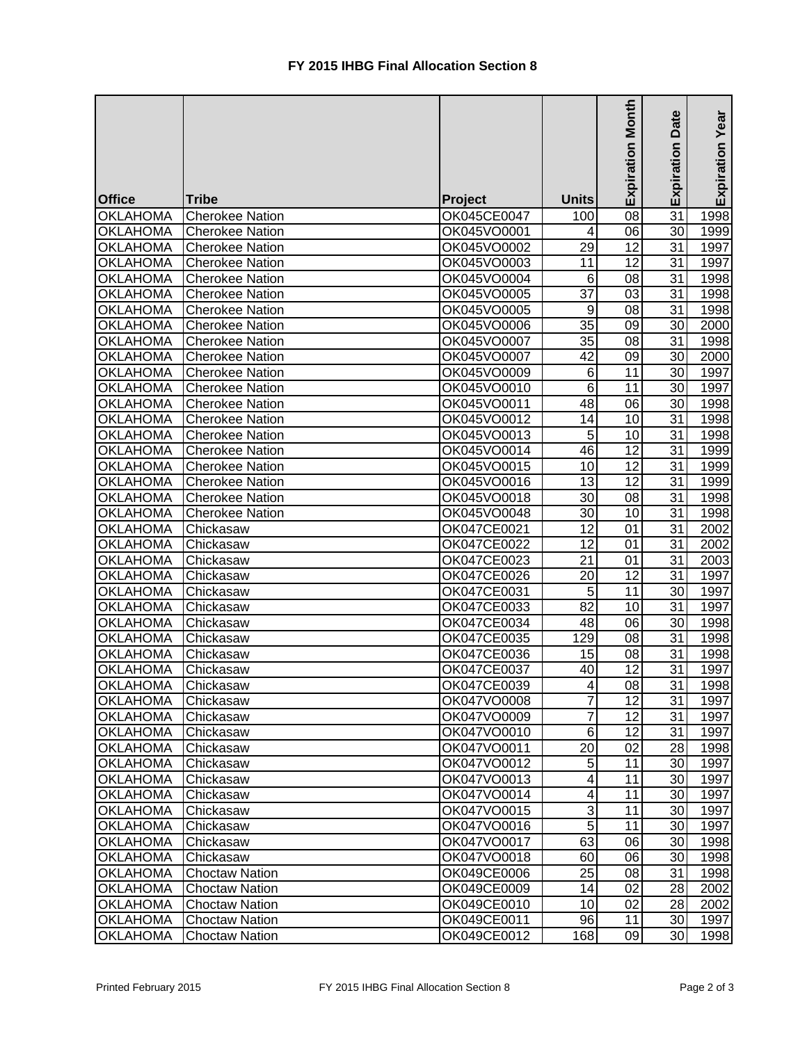|                                    |                        |                            |                 | Month           | Date            |                 |
|------------------------------------|------------------------|----------------------------|-----------------|-----------------|-----------------|-----------------|
|                                    |                        |                            |                 |                 |                 | Expiration Year |
|                                    |                        |                            |                 |                 |                 |                 |
|                                    |                        |                            |                 |                 |                 |                 |
|                                    |                        |                            |                 | Expiration      | Expiration      |                 |
| <b>Office</b>                      | <b>Tribe</b>           | <b>Project</b>             | <b>Units</b>    |                 |                 |                 |
| <b>OKLAHOMA</b>                    | <b>Cherokee Nation</b> | OK045CE0047                | 100             | 08              | $\overline{31}$ | 1998            |
| <b>OKLAHOMA</b>                    | <b>Cherokee Nation</b> | OK045VO0001                | 4               | 06              | 30              | 1999            |
| <b>OKLAHOMA</b>                    | <b>Cherokee Nation</b> | OK045VO0002                | 29              | 12              | 31              | 1997            |
| <b>OKLAHOMA</b>                    | <b>Cherokee Nation</b> | OK045VO0003                | 11              | 12              | 31              | 1997            |
| <b>OKLAHOMA</b>                    | <b>Cherokee Nation</b> | OK045VO0004                | 6               | 08              | 31              | 1998            |
| <b>OKLAHOMA</b>                    | <b>Cherokee Nation</b> | OK045VO0005                | 37              | 03              | 31              | 1998            |
| <b>OKLAHOMA</b>                    | <b>Cherokee Nation</b> | OK045VO0005                | 9               | 08              | 31              | 1998            |
| <b>OKLAHOMA</b>                    | <b>Cherokee Nation</b> | OK045VO0006                | 35              | 09              | 30              | 2000            |
| <b>OKLAHOMA</b>                    | <b>Cherokee Nation</b> | OK045VO0007                | 35              | 08              | 31              | 1998            |
| <b>OKLAHOMA</b>                    | <b>Cherokee Nation</b> | OK045VO0007                | 42              | 09              | 30              | 2000            |
| <b>OKLAHOMA</b>                    | <b>Cherokee Nation</b> | OK045VO0009                | 6               | 11              | 30              | 1997            |
| <b>OKLAHOMA</b>                    | <b>Cherokee Nation</b> | OK045VO0010                | $6\phantom{1}6$ | 11              | 30              | 1997            |
| <b>OKLAHOMA</b>                    | <b>Cherokee Nation</b> | OK045VO0011                | 48              | 06              | 30              | 1998            |
| <b>OKLAHOMA</b>                    | <b>Cherokee Nation</b> | OK045VO0012                | 14              | 10              | 31              | 1998            |
| <b>OKLAHOMA</b>                    | <b>Cherokee Nation</b> | OK045VO0013                | 5               | 10              | 31              | 1998            |
| <b>OKLAHOMA</b>                    | <b>Cherokee Nation</b> | OK045VO0014                | 46              | 12              | 31              | 1999            |
| <b>OKLAHOMA</b>                    | <b>Cherokee Nation</b> | OK045VO0015                | 10              | $\overline{12}$ | 31              | 1999            |
| <b>OKLAHOMA</b>                    | <b>Cherokee Nation</b> | OK045VO0016                | 13              | 12              | 31              | 1999            |
| <b>OKLAHOMA</b>                    | <b>Cherokee Nation</b> | OK045VO0018                | 30              | 08              | 31              | 1998            |
| <b>OKLAHOMA</b>                    | <b>Cherokee Nation</b> | OK045VO0048                | $\overline{30}$ | 10              | 31              | 1998            |
| <b>OKLAHOMA</b>                    | Chickasaw              | OK047CE0021                | 12              | 01              | 31              | 2002            |
| <b>OKLAHOMA</b>                    | Chickasaw              | OK047CE0022                | 12              | 01              | 31              | 2002            |
| <b>OKLAHOMA</b>                    | Chickasaw              | OK047CE0023                | $\overline{21}$ | 01              | 31              | 2003            |
| <b>OKLAHOMA</b>                    | Chickasaw              | OK047CE0026                | 20              | 12              | 31              | 1997            |
| <b>OKLAHOMA</b>                    | Chickasaw              | OK047CE0031                | 5               | 11              | 30              | 1997            |
| <b>OKLAHOMA</b>                    | Chickasaw              | OK047CE0033                | 82              | 10              | 31              | 1997            |
| <b>OKLAHOMA</b>                    | Chickasaw              | OK047CE0034                | 48              | 06              | 30              | 1998            |
| <b>OKLAHOMA</b>                    | Chickasaw              | OK047CE0035                | 129             | 08              | 31              | 1998            |
| <b>OKLAHOMA</b>                    | Chickasaw              | OK047CE0036                | 15              | 08              | 31              | 1998            |
| <b>OKLAHOMA</b>                    | Chickasaw              | OK047CE0037                | 40              | 12              | 31              | 1997            |
| <b>OKLAHOMA</b>                    | Chickasaw              | OK047CE0039                | 4               | $\overline{08}$ | $\overline{31}$ | 1998            |
| OKLAHOMA                           | Chickasaw              | OK047VO0008                | $\overline{7}$  | 12              | 31              | 1997            |
| <b>OKLAHOMA</b>                    | Chickasaw              | OK047VO0009                |                 | 12              | 31              | 1997            |
| <b>OKLAHOMA</b>                    | Chickasaw              | OK047VO0010                | 6               | 12              | 31              | 1997            |
| <b>OKLAHOMA</b>                    | Chickasaw              | OK047VO0011                | 20              | 02              | 28              | 1998            |
| <b>OKLAHOMA</b>                    | Chickasaw              | OK047VO0012                | $\overline{5}$  | 11              | 30 <sup>1</sup> | 1997            |
| <b>OKLAHOMA</b>                    | Chickasaw              | OK047VO0013                | 4               | 11              | 30 <sup>1</sup> | 1997            |
| <b>OKLAHOMA</b>                    | Chickasaw              | OK047VO0014                | 4               | 11              | 30 <sup>1</sup> | 1997            |
| <b>OKLAHOMA</b>                    |                        | OK047VO0015                | 3               | 11              | 30 <sup>1</sup> | 1997            |
| <b>OKLAHOMA</b>                    | Chickasaw<br>Chickasaw | OK047VO0016                | 5               | 11              | 30 <sub>l</sub> | 1997            |
| <b>OKLAHOMA</b>                    |                        | OK047VO0017                | 63              | 06              | 30 <sub>l</sub> | 1998            |
| <b>OKLAHOMA</b>                    | Chickasaw              |                            |                 | 06              | 30 <sub>l</sub> |                 |
| <b>OKLAHOMA</b>                    | Chickasaw              | OK047VO0018                | 60<br>25        | 08              |                 | 1998            |
|                                    | <b>Choctaw Nation</b>  | OK049CE0006                |                 |                 | 31              | 1998            |
| <b>OKLAHOMA</b>                    | <b>Choctaw Nation</b>  | OK049CE0009                | 14              | 02              | 28              | 2002            |
| <b>OKLAHOMA</b><br><b>OKLAHOMA</b> | <b>Choctaw Nation</b>  | OK049CE0010<br>OK049CE0011 | 10              | 02<br>11        | 28              | 2002            |
| <b>OKLAHOMA</b>                    | <b>Choctaw Nation</b>  |                            | 96              | 09              | 30 <sub>l</sub> | 1997            |
|                                    | <b>Choctaw Nation</b>  | OK049CE0012                | 168             |                 | 30 <sub>l</sub> | 1998            |